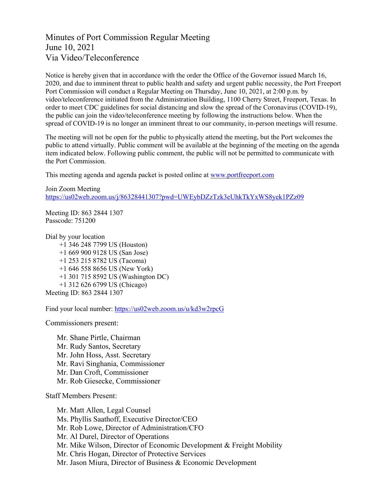Minutes of Port Commission Regular Meeting June 10, 2021 Via Video/Teleconference

Notice is hereby given that in accordance with the order the Office of the Governor issued March 16, 2020, and due to imminent threat to public health and safety and urgent public necessity, the Port Freeport Port Commission will conduct a Regular Meeting on Thursday, June 10, 2021, at 2:00 p.m. by video/teleconference initiated from the Administration Building, 1100 Cherry Street, Freeport, Texas. In order to meet CDC guidelines for social distancing and slow the spread of the Coronavirus (COVID-19), the public can join the video/teleconference meeting by following the instructions below. When the spread of COVID-19 is no longer an imminent threat to our community, in-person meetings will resume.

The meeting will not be open for the public to physically attend the meeting, but the Port welcomes the public to attend virtually. Public comment will be available at the beginning of the meeting on the agenda item indicated below. Following public comment, the public will not be permitted to communicate with the Port Commission.

This meeting agenda and agenda packet is posted online at [www.portfreeport.com](http://www.portfreeport.com/)

Join Zoom Meeting <https://us02web.zoom.us/j/86328441307?pwd=UWEybDZzTzk3eUhkTkYxWS8yek1PZz09>

Meeting ID: 863 2844 1307 Passcode: 751200

Dial by your location

 +1 346 248 7799 US (Houston) +1 669 900 9128 US (San Jose) +1 253 215 8782 US (Tacoma) +1 646 558 8656 US (New York) +1 301 715 8592 US (Washington DC) +1 312 626 6799 US (Chicago) Meeting ID: 863 2844 1307

Find your local number:<https://us02web.zoom.us/u/kd3w2rpcG>

Commissioners present:

Mr. Shane Pirtle, Chairman Mr. Rudy Santos, Secretary Mr. John Hoss, Asst. Secretary Mr. Ravi Singhania, Commissioner Mr. Dan Croft, Commissioner Mr. Rob Giesecke, Commissioner

Staff Members Present:

Mr. Matt Allen, Legal Counsel Ms. Phyllis Saathoff, Executive Director/CEO Mr. Rob Lowe, Director of Administration/CFO Mr. Al Durel, Director of Operations Mr. Mike Wilson, Director of Economic Development & Freight Mobility Mr. Chris Hogan, Director of Protective Services Mr. Jason Miura, Director of Business & Economic Development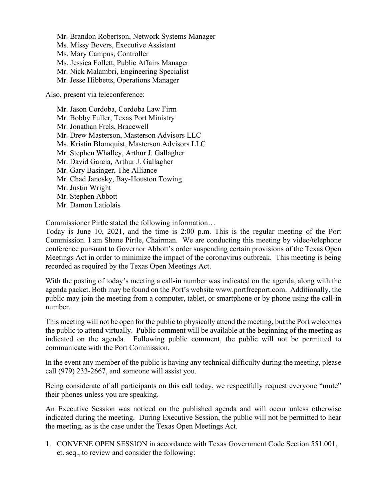Mr. Brandon Robertson, Network Systems Manager Ms. Missy Bevers, Executive Assistant Ms. Mary Campus, Controller Ms. Jessica Follett, Public Affairs Manager Mr. Nick Malambri, Engineering Specialist Mr. Jesse Hibbetts, Operations Manager

Also, present via teleconference:

Mr. Jason Cordoba, Cordoba Law Firm Mr. Bobby Fuller, Texas Port Ministry Mr. Jonathan Frels, Bracewell Mr. Drew Masterson, Masterson Advisors LLC Ms. Kristin Blomquist, Masterson Advisors LLC Mr. Stephen Whalley, Arthur J. Gallagher Mr. David Garcia, Arthur J. Gallagher Mr. Gary Basinger, The Alliance Mr. Chad Janosky, Bay-Houston Towing Mr. Justin Wright Mr. Stephen Abbott Mr. Damon Latiolais

Commissioner Pirtle stated the following information…

Today is June 10, 2021, and the time is 2:00 p.m. This is the regular meeting of the Port Commission. I am Shane Pirtle, Chairman. We are conducting this meeting by video/telephone conference pursuant to Governor Abbott's order suspending certain provisions of the Texas Open Meetings Act in order to minimize the impact of the coronavirus outbreak. This meeting is being recorded as required by the Texas Open Meetings Act.

With the posting of today's meeting a call-in number was indicated on the agenda, along with the agenda packet. Both may be found on the Port's website [www.portfreeport.com.](http://www.portfreeport.com/) Additionally, the public may join the meeting from a computer, tablet, or smartphone or by phone using the call-in number.

This meeting will not be open for the public to physically attend the meeting, but the Port welcomes the public to attend virtually. Public comment will be available at the beginning of the meeting as indicated on the agenda. Following public comment, the public will not be permitted to communicate with the Port Commission.

In the event any member of the public is having any technical difficulty during the meeting, please call (979) 233-2667, and someone will assist you.

Being considerate of all participants on this call today, we respectfully request everyone "mute" their phones unless you are speaking.

An Executive Session was noticed on the published agenda and will occur unless otherwise indicated during the meeting. During Executive Session, the public will not be permitted to hear the meeting, as is the case under the Texas Open Meetings Act.

1. CONVENE OPEN SESSION in accordance with Texas Government Code Section 551.001, et. seq., to review and consider the following: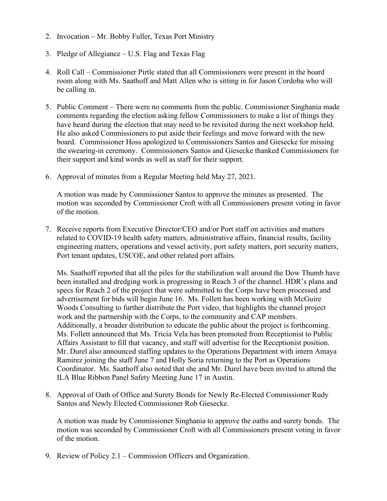- 2. Invocation Mr. Bobby Fuller, Texas Port Ministry
- 3. Pledge of Allegiance U.S. Flag and Texas Flag
- 4. Roll Call Commissioner Pirtle stated that all Commissioners were present in the board room along with Ms. Saathoff and Matt Allen who is sitting in for Jason Cordoba who will be calling in.
- 5. Public Comment There were no comments from the public. Commissioner Singhania made comments regarding the election asking fellow Commissioners to make a list of things they have heard during the election that may need to be revisited during the next workshop held. He also asked Commissioners to put aside their feelings and move forward with the new board. Commissioner Hoss apologized to Commissioners Santos and Giesecke for missing the swearing-in ceremony. Commissioners Santos and Giesecke thanked Commissioners for their support and kind words as well as staff for their support.
- 6. Approval of minutes from a Regular Meeting held May 27, 2021.

A motion was made by Commissioner Santos to approve the minutes as presented. The motion was seconded by Commissioner Croft with all Commissioners present voting in favor of the motion.

7. Receive reports from Executive Director/CEO and/or Port staff on activities and matters related to COVID-19 health safety matters, administrative affairs, financial results, facility engineering matters, operations and vessel activity, port safety matters, port security matters, Port tenant updates, USCOE, and other related port affairs.

Ms. Saathoff reported that all the piles for the stabilization wall around the Dow Thumb have been installed and dredging work is progressing in Reach 3 of the channel. HDR's plans and specs for Reach 2 of the project that were submitted to the Corps have been processed and advertisement for bids will begin June 16. Ms. Follett has been working with McGuire Woods Consulting to further distribute the Port video, that highlights the channel project work and the partnership with the Corps, to the community and CAP members. Additionally, a broader distribution to educate the public about the project is forthcoming. Ms. Follett announced that Ms. Tricia Vela has been promoted from Receptionist to Public Affairs Assistant to fill that vacancy, and staff will advertise for the Receptionist position. Mr. Durel also announced staffing updates to the Operations Department with intern Amaya Ramirez joining the staff June 7 and Holly Soria returning to the Port as Operations Coordinator. Ms. Saathoff also noted that she and Mr. Durel have been invited to attend the ILA Blue Ribbon Panel Safety Meeting June 17 in Austin.

8. Approval of Oath of Office and Surety Bonds for Newly Re-Elected Commissioner Rudy Santos and Newly Elected Commissioner Rob Giesecke.

A motion was made by Commissioner Singhania to approve the oaths and surety bonds. The motion was seconded by Commissioner Croft with all Commissioners present voting in favor of the motion.

9. Review of Policy 2.1 – Commission Officers and Organization.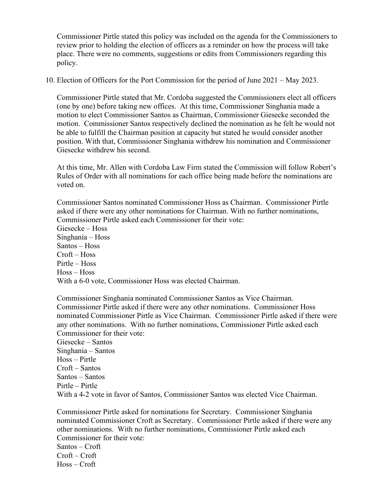Commissioner Pirtle stated this policy was included on the agenda for the Commissioners to review prior to holding the election of officers as a reminder on how the process will take place. There were no comments, suggestions or edits from Commissioners regarding this policy.

10. Election of Officers for the Port Commission for the period of June 2021 – May 2023.

Commissioner Pirtle stated that Mr. Cordoba suggested the Commissioners elect all officers (one by one) before taking new offices. At this time, Commissioner Singhania made a motion to elect Commissioner Santos as Chairman, Commissioner Giesecke seconded the motion. Commissioner Santos respectively declined the nomination as he felt he would not be able to fulfill the Chairman position at capacity but stated he would consider another position. With that, Commissioner Singhania withdrew his nomination and Commissioner Giesecke withdrew his second.

At this time, Mr. Allen with Cordoba Law Firm stated the Commission will follow Robert's Rules of Order with all nominations for each office being made before the nominations are voted on.

Commissioner Santos nominated Commissioner Hoss as Chairman. Commissioner Pirtle asked if there were any other nominations for Chairman. With no further nominations, Commissioner Pirtle asked each Commissioner for their vote:

Giesecke – Hoss Singhania – Hoss Santos – Hoss Croft – Hoss Pirtle – Hoss Hoss – Hoss With a 6-0 vote, Commissioner Hoss was elected Chairman.

Commissioner Singhania nominated Commissioner Santos as Vice Chairman. Commissioner Pirtle asked if there were any other nominations. Commissioner Hoss nominated Commissioner Pirtle as Vice Chairman. Commissioner Pirtle asked if there were any other nominations. With no further nominations, Commissioner Pirtle asked each Commissioner for their vote: Giesecke – Santos Singhania – Santos Hoss – Pirtle Croft – Santos Santos – Santos Pirtle – Pirtle With a 4-2 vote in favor of Santos, Commissioner Santos was elected Vice Chairman.

Commissioner Pirtle asked for nominations for Secretary. Commissioner Singhania nominated Commissioner Croft as Secretary. Commissioner Pirtle asked if there were any other nominations. With no further nominations, Commissioner Pirtle asked each Commissioner for their vote: Santos – Croft Croft – Croft Hoss – Croft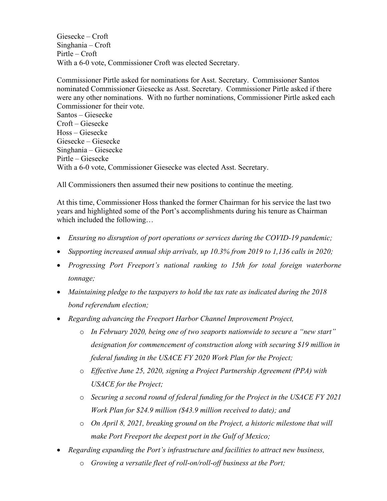Giesecke – Croft Singhania – Croft Pirtle – Croft With a 6-0 vote, Commissioner Croft was elected Secretary.

Commissioner Pirtle asked for nominations for Asst. Secretary. Commissioner Santos nominated Commissioner Giesecke as Asst. Secretary. Commissioner Pirtle asked if there were any other nominations. With no further nominations, Commissioner Pirtle asked each Commissioner for their vote. Santos – Giesecke Croft – Giesecke Hoss – Giesecke Giesecke – Giesecke Singhania – Giesecke Pirtle – Giesecke With a 6-0 vote, Commissioner Giesecke was elected Asst. Secretary.

All Commissioners then assumed their new positions to continue the meeting.

At this time, Commissioner Hoss thanked the former Chairman for his service the last two years and highlighted some of the Port's accomplishments during his tenure as Chairman which included the following…

- *Ensuring no disruption of port operations or services during the COVID-19 pandemic;*
- *Supporting increased annual ship arrivals, up 10.3% from 2019 to 1,136 calls in 2020;*
- *Progressing Port Freeport's national ranking to 15th for total foreign waterborne tonnage;*
- *Maintaining pledge to the taxpayers to hold the tax rate as indicated during the 2018 bond referendum election;*
- *Regarding advancing the Freeport Harbor Channel Improvement Project,*
	- o *In February 2020, being one of two seaports nationwide to secure a "new start" designation for commencement of construction along with securing \$19 million in federal funding in the USACE FY 2020 Work Plan for the Project;*
	- o *Effective June 25, 2020, signing a Project Partnership Agreement (PPA) with USACE for the Project;*
	- o *Securing a second round of federal funding for the Project in the USACE FY 2021 Work Plan for \$24.9 million (\$43.9 million received to date); and*
	- o *On April 8, 2021, breaking ground on the Project, a historic milestone that will make Port Freeport the deepest port in the Gulf of Mexico;*
- *Regarding expanding the Port's infrastructure and facilities to attract new business,*
	- o *Growing a versatile fleet of roll-on/roll-off business at the Port;*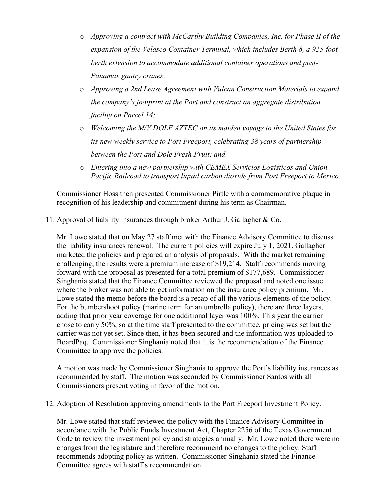- o *Approving a contract with McCarthy Building Companies, Inc. for Phase II of the expansion of the Velasco Container Terminal, which includes Berth 8, a 925-foot berth extension to accommodate additional container operations and post-Panamax gantry cranes;*
- o *Approving a 2nd Lease Agreement with Vulcan Construction Materials to expand the company's footprint at the Port and construct an aggregate distribution facility on Parcel 14;*
- o *Welcoming the M/V DOLE AZTEC on its maiden voyage to the United States for its new weekly service to Port Freeport, celebrating 38 years of partnership between the Port and Dole Fresh Fruit; and*
- o *Entering into a new partnership with CEMEX Servicios Logisticos and Union Pacific Railroad to transport liquid carbon dioxide from Port Freeport to Mexico.*

Commissioner Hoss then presented Commissioner Pirtle with a commemorative plaque in recognition of his leadership and commitment during his term as Chairman.

11. Approval of liability insurances through broker Arthur J. Gallagher & Co.

Mr. Lowe stated that on May 27 staff met with the Finance Advisory Committee to discuss the liability insurances renewal. The current policies will expire July 1, 2021. Gallagher marketed the policies and prepared an analysis of proposals. With the market remaining challenging, the results were a premium increase of \$19,214. Staff recommends moving forward with the proposal as presented for a total premium of \$177,689. Commissioner Singhania stated that the Finance Committee reviewed the proposal and noted one issue where the broker was not able to get information on the insurance policy premium. Mr. Lowe stated the memo before the board is a recap of all the various elements of the policy. For the bumbershoot policy (marine term for an umbrella policy), there are three layers, adding that prior year coverage for one additional layer was 100%. This year the carrier chose to carry 50%, so at the time staff presented to the committee, pricing was set but the carrier was not yet set. Since then, it has been secured and the information was uploaded to BoardPaq. Commissioner Singhania noted that it is the recommendation of the Finance Committee to approve the policies.

A motion was made by Commissioner Singhania to approve the Port's liability insurances as recommended by staff. The motion was seconded by Commissioner Santos with all Commissioners present voting in favor of the motion.

12. Adoption of Resolution approving amendments to the Port Freeport Investment Policy.

Mr. Lowe stated that staff reviewed the policy with the Finance Advisory Committee in accordance with the Public Funds Investment Act, Chapter 2256 of the Texas Government Code to review the investment policy and strategies annually. Mr. Lowe noted there were no changes from the legislature and therefore recommend no changes to the policy. Staff recommends adopting policy as written. Commissioner Singhania stated the Finance Committee agrees with staff's recommendation.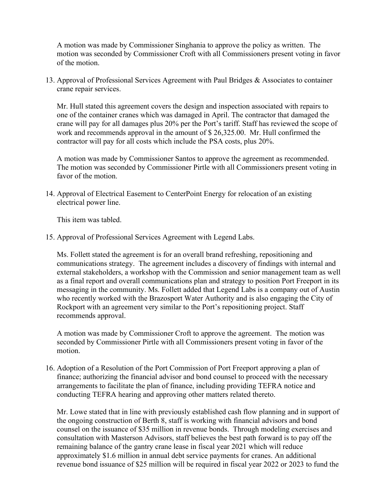A motion was made by Commissioner Singhania to approve the policy as written. The motion was seconded by Commissioner Croft with all Commissioners present voting in favor of the motion.

13. Approval of Professional Services Agreement with Paul Bridges & Associates to container crane repair services.

Mr. Hull stated this agreement covers the design and inspection associated with repairs to one of the container cranes which was damaged in April. The contractor that damaged the crane will pay for all damages plus 20% per the Port's tariff. Staff has reviewed the scope of work and recommends approval in the amount of \$ 26,325.00. Mr. Hull confirmed the contractor will pay for all costs which include the PSA costs, plus 20%.

A motion was made by Commissioner Santos to approve the agreement as recommended. The motion was seconded by Commissioner Pirtle with all Commissioners present voting in favor of the motion

14. Approval of Electrical Easement to CenterPoint Energy for relocation of an existing electrical power line.

This item was tabled.

15. Approval of Professional Services Agreement with Legend Labs.

Ms. Follett stated the agreement is for an overall brand refreshing, repositioning and communications strategy. The agreement includes a discovery of findings with internal and external stakeholders, a workshop with the Commission and senior management team as well as a final report and overall communications plan and strategy to position Port Freeport in its messaging in the community. Ms. Follett added that Legend Labs is a company out of Austin who recently worked with the Brazosport Water Authority and is also engaging the City of Rockport with an agreement very similar to the Port's repositioning project. Staff recommends approval.

A motion was made by Commissioner Croft to approve the agreement. The motion was seconded by Commissioner Pirtle with all Commissioners present voting in favor of the motion.

16. Adoption of a Resolution of the Port Commission of Port Freeport approving a plan of finance; authorizing the financial advisor and bond counsel to proceed with the necessary arrangements to facilitate the plan of finance, including providing TEFRA notice and conducting TEFRA hearing and approving other matters related thereto.

Mr. Lowe stated that in line with previously established cash flow planning and in support of the ongoing construction of Berth 8, staff is working with financial advisors and bond counsel on the issuance of \$35 million in revenue bonds. Through modeling exercises and consultation with Masterson Advisors, staff believes the best path forward is to pay off the remaining balance of the gantry crane lease in fiscal year 2021 which will reduce approximately \$1.6 million in annual debt service payments for cranes. An additional revenue bond issuance of \$25 million will be required in fiscal year 2022 or 2023 to fund the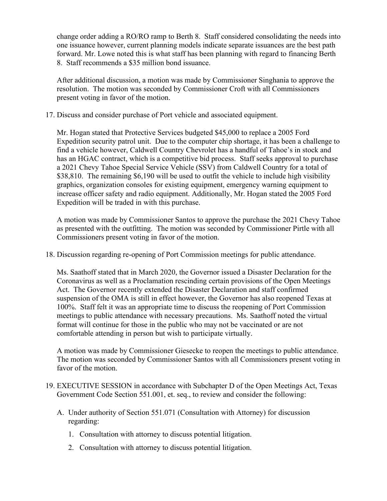change order adding a RO/RO ramp to Berth 8. Staff considered consolidating the needs into one issuance however, current planning models indicate separate issuances are the best path forward. Mr. Lowe noted this is what staff has been planning with regard to financing Berth 8. Staff recommends a \$35 million bond issuance.

After additional discussion, a motion was made by Commissioner Singhania to approve the resolution. The motion was seconded by Commissioner Croft with all Commissioners present voting in favor of the motion.

17. Discuss and consider purchase of Port vehicle and associated equipment.

Mr. Hogan stated that Protective Services budgeted \$45,000 to replace a 2005 Ford Expedition security patrol unit. Due to the computer chip shortage, it has been a challenge to find a vehicle however, Caldwell Country Chevrolet has a handful of Tahoe's in stock and has an HGAC contract, which is a competitive bid process. Staff seeks approval to purchase a 2021 Chevy Tahoe Special Service Vehicle (SSV) from Caldwell Country for a total of \$38,810. The remaining \$6,190 will be used to outfit the vehicle to include high visibility graphics, organization consoles for existing equipment, emergency warning equipment to increase officer safety and radio equipment. Additionally, Mr. Hogan stated the 2005 Ford Expedition will be traded in with this purchase.

A motion was made by Commissioner Santos to approve the purchase the 2021 Chevy Tahoe as presented with the outfitting. The motion was seconded by Commissioner Pirtle with all Commissioners present voting in favor of the motion.

18. Discussion regarding re-opening of Port Commission meetings for public attendance.

Ms. Saathoff stated that in March 2020, the Governor issued a Disaster Declaration for the Coronavirus as well as a Proclamation rescinding certain provisions of the Open Meetings Act. The Governor recently extended the Disaster Declaration and staff confirmed suspension of the OMA is still in effect however, the Governor has also reopened Texas at 100%. Staff felt it was an appropriate time to discuss the reopening of Port Commission meetings to public attendance with necessary precautions. Ms. Saathoff noted the virtual format will continue for those in the public who may not be vaccinated or are not comfortable attending in person but wish to participate virtually.

A motion was made by Commissioner Giesecke to reopen the meetings to public attendance. The motion was seconded by Commissioner Santos with all Commissioners present voting in favor of the motion.

- 19. EXECUTIVE SESSION in accordance with Subchapter D of the Open Meetings Act, Texas Government Code Section 551.001, et. seq., to review and consider the following:
	- A. Under authority of Section 551.071 (Consultation with Attorney) for discussion regarding:
		- 1. Consultation with attorney to discuss potential litigation.
		- 2. Consultation with attorney to discuss potential litigation.